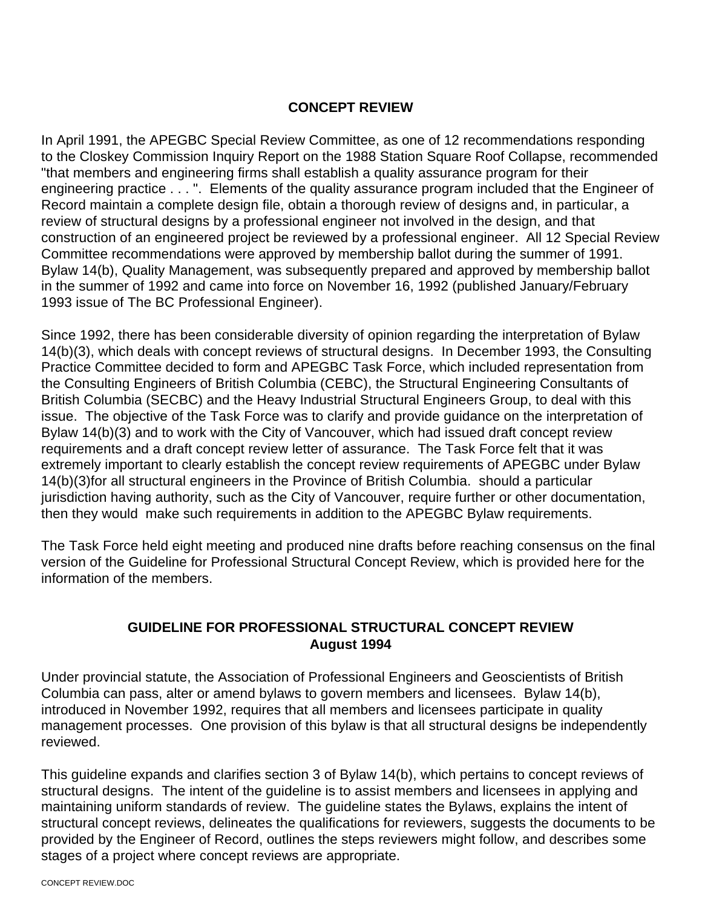#### **CONCEPT REVIEW**

In April 1991, the APEGBC Special Review Committee, as one of 12 recommendations responding to the Closkey Commission Inquiry Report on the 1988 Station Square Roof Collapse, recommended "that members and engineering firms shall establish a quality assurance program for their engineering practice . . . ". Elements of the quality assurance program included that the Engineer of Record maintain a complete design file, obtain a thorough review of designs and, in particular, a review of structural designs by a professional engineer not involved in the design, and that construction of an engineered project be reviewed by a professional engineer. All 12 Special Review Committee recommendations were approved by membership ballot during the summer of 1991. Bylaw 14(b), Quality Management, was subsequently prepared and approved by membership ballot in the summer of 1992 and came into force on November 16, 1992 (published January/February 1993 issue of The BC Professional Engineer).

Since 1992, there has been considerable diversity of opinion regarding the interpretation of Bylaw 14(b)(3), which deals with concept reviews of structural designs. In December 1993, the Consulting Practice Committee decided to form and APEGBC Task Force, which included representation from the Consulting Engineers of British Columbia (CEBC), the Structural Engineering Consultants of British Columbia (SECBC) and the Heavy Industrial Structural Engineers Group, to deal with this issue. The objective of the Task Force was to clarify and provide guidance on the interpretation of Bylaw 14(b)(3) and to work with the City of Vancouver, which had issued draft concept review requirements and a draft concept review letter of assurance. The Task Force felt that it was extremely important to clearly establish the concept review requirements of APEGBC under Bylaw 14(b)(3)for all structural engineers in the Province of British Columbia. should a particular jurisdiction having authority, such as the City of Vancouver, require further or other documentation, then they would make such requirements in addition to the APEGBC Bylaw requirements.

The Task Force held eight meeting and produced nine drafts before reaching consensus on the final version of the Guideline for Professional Structural Concept Review, which is provided here for the information of the members.

## **GUIDELINE FOR PROFESSIONAL STRUCTURAL CONCEPT REVIEW August 1994**

Under provincial statute, the Association of Professional Engineers and Geoscientists of British Columbia can pass, alter or amend bylaws to govern members and licensees. Bylaw 14(b), introduced in November 1992, requires that all members and licensees participate in quality management processes. One provision of this bylaw is that all structural designs be independently reviewed.

This guideline expands and clarifies section 3 of Bylaw 14(b), which pertains to concept reviews of structural designs. The intent of the guideline is to assist members and licensees in applying and maintaining uniform standards of review. The guideline states the Bylaws, explains the intent of structural concept reviews, delineates the qualifications for reviewers, suggests the documents to be provided by the Engineer of Record, outlines the steps reviewers might follow, and describes some stages of a project where concept reviews are appropriate.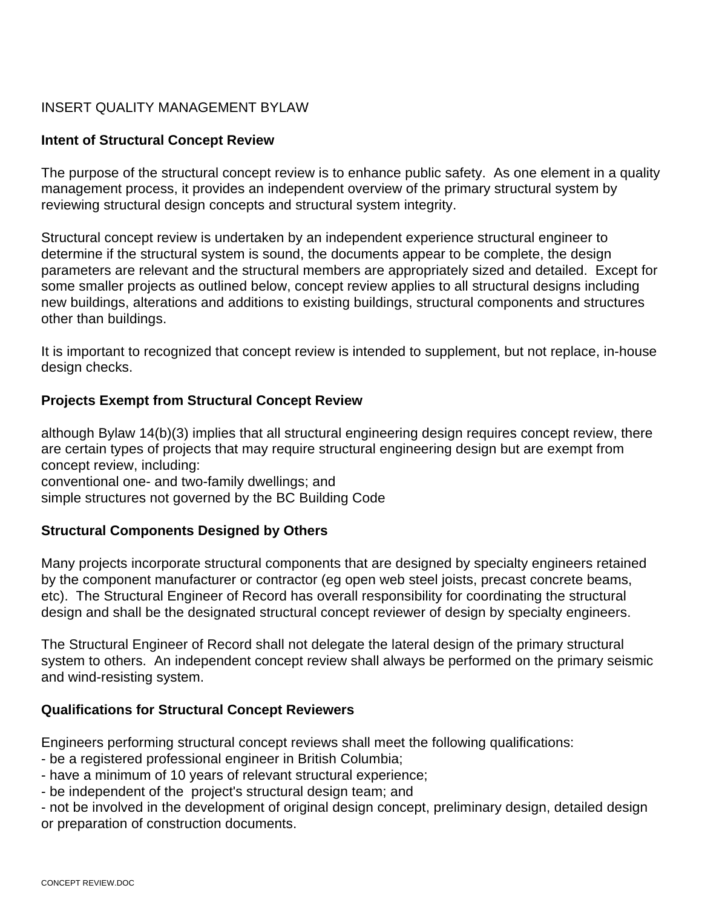## INSERT QUALITY MANAGEMENT BYLAW

#### **Intent of Structural Concept Review**

The purpose of the structural concept review is to enhance public safety. As one element in a quality management process, it provides an independent overview of the primary structural system by reviewing structural design concepts and structural system integrity.

Structural concept review is undertaken by an independent experience structural engineer to determine if the structural system is sound, the documents appear to be complete, the design parameters are relevant and the structural members are appropriately sized and detailed. Except for some smaller projects as outlined below, concept review applies to all structural designs including new buildings, alterations and additions to existing buildings, structural components and structures other than buildings.

It is important to recognized that concept review is intended to supplement, but not replace, in-house design checks.

#### **Projects Exempt from Structural Concept Review**

although Bylaw 14(b)(3) implies that all structural engineering design requires concept review, there are certain types of projects that may require structural engineering design but are exempt from concept review, including: conventional one- and two-family dwellings; and

simple structures not governed by the BC Building Code

#### **Structural Components Designed by Others**

Many projects incorporate structural components that are designed by specialty engineers retained by the component manufacturer or contractor (eg open web steel joists, precast concrete beams, etc). The Structural Engineer of Record has overall responsibility for coordinating the structural design and shall be the designated structural concept reviewer of design by specialty engineers.

The Structural Engineer of Record shall not delegate the lateral design of the primary structural system to others. An independent concept review shall always be performed on the primary seismic and wind-resisting system.

#### **Qualifications for Structural Concept Reviewers**

Engineers performing structural concept reviews shall meet the following qualifications:

- be a registered professional engineer in British Columbia;
- have a minimum of 10 years of relevant structural experience;
- be independent of the project's structural design team; and

- not be involved in the development of original design concept, preliminary design, detailed design or preparation of construction documents.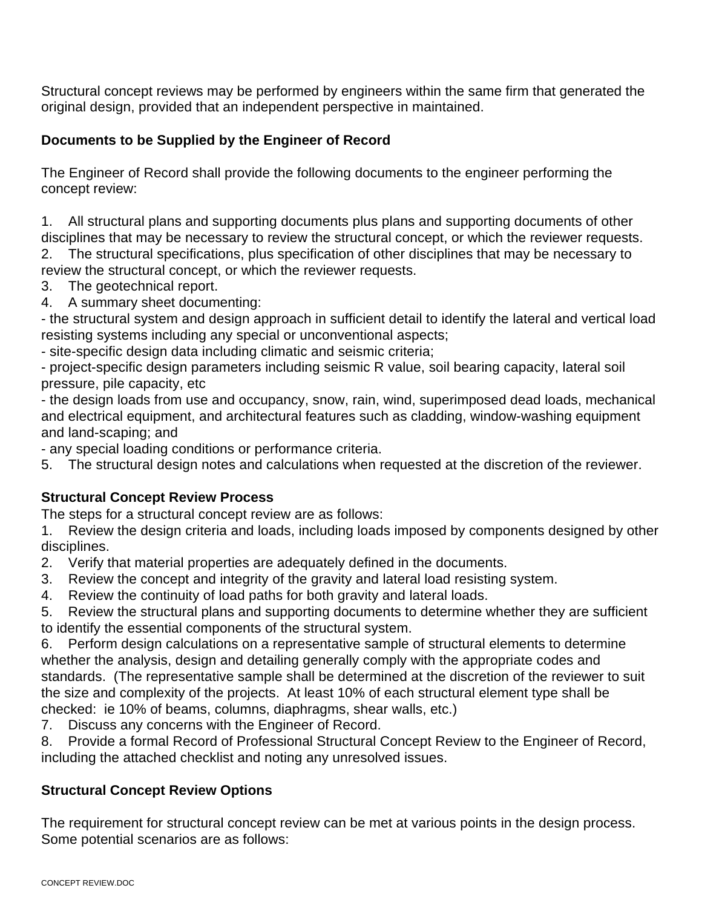Structural concept reviews may be performed by engineers within the same firm that generated the original design, provided that an independent perspective in maintained.

## **Documents to be Supplied by the Engineer of Record**

The Engineer of Record shall provide the following documents to the engineer performing the concept review:

1. All structural plans and supporting documents plus plans and supporting documents of other disciplines that may be necessary to review the structural concept, or which the reviewer requests.

2. The structural specifications, plus specification of other disciplines that may be necessary to review the structural concept, or which the reviewer requests.

3. The geotechnical report.

4. A summary sheet documenting:

- the structural system and design approach in sufficient detail to identify the lateral and vertical load resisting systems including any special or unconventional aspects;

- site-specific design data including climatic and seismic criteria;

- project-specific design parameters including seismic R value, soil bearing capacity, lateral soil pressure, pile capacity, etc

- the design loads from use and occupancy, snow, rain, wind, superimposed dead loads, mechanical and electrical equipment, and architectural features such as cladding, window-washing equipment and land-scaping; and

- any special loading conditions or performance criteria.

5. The structural design notes and calculations when requested at the discretion of the reviewer.

## **Structural Concept Review Process**

The steps for a structural concept review are as follows:

1. Review the design criteria and loads, including loads imposed by components designed by other disciplines.

2. Verify that material properties are adequately defined in the documents.

- 3. Review the concept and integrity of the gravity and lateral load resisting system.
- 4. Review the continuity of load paths for both gravity and lateral loads.

5. Review the structural plans and supporting documents to determine whether they are sufficient to identify the essential components of the structural system.

6. Perform design calculations on a representative sample of structural elements to determine whether the analysis, design and detailing generally comply with the appropriate codes and standards. (The representative sample shall be determined at the discretion of the reviewer to suit the size and complexity of the projects. At least 10% of each structural element type shall be checked: ie 10% of beams, columns, diaphragms, shear walls, etc.)

7. Discuss any concerns with the Engineer of Record.

8. Provide a formal Record of Professional Structural Concept Review to the Engineer of Record, including the attached checklist and noting any unresolved issues.

## **Structural Concept Review Options**

The requirement for structural concept review can be met at various points in the design process. Some potential scenarios are as follows: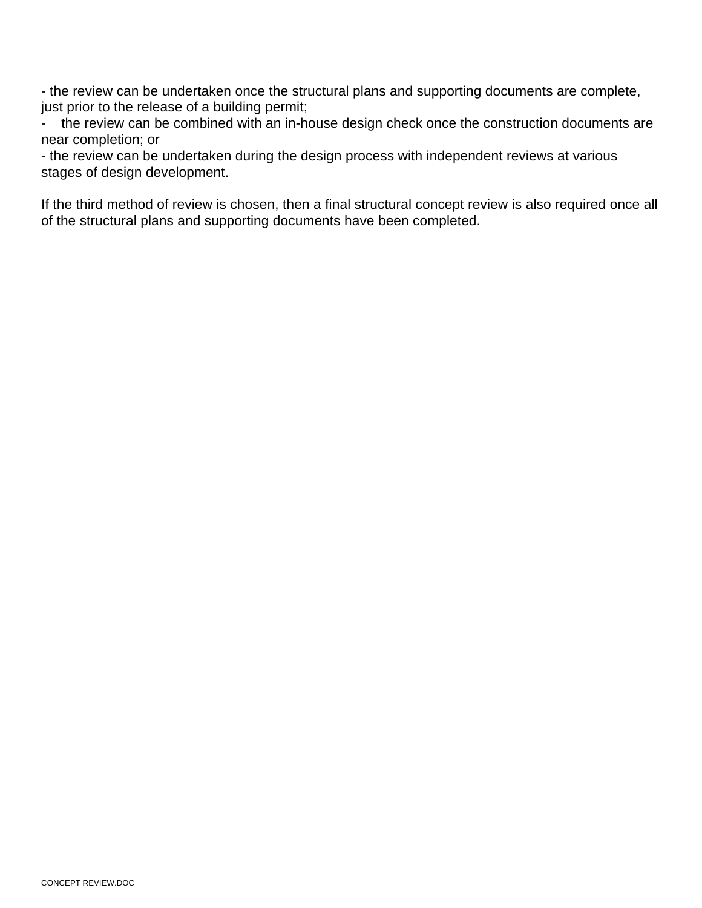- the review can be undertaken once the structural plans and supporting documents are complete, just prior to the release of a building permit;

- the review can be combined with an in-house design check once the construction documents are near completion; or

- the review can be undertaken during the design process with independent reviews at various stages of design development.

If the third method of review is chosen, then a final structural concept review is also required once all of the structural plans and supporting documents have been completed.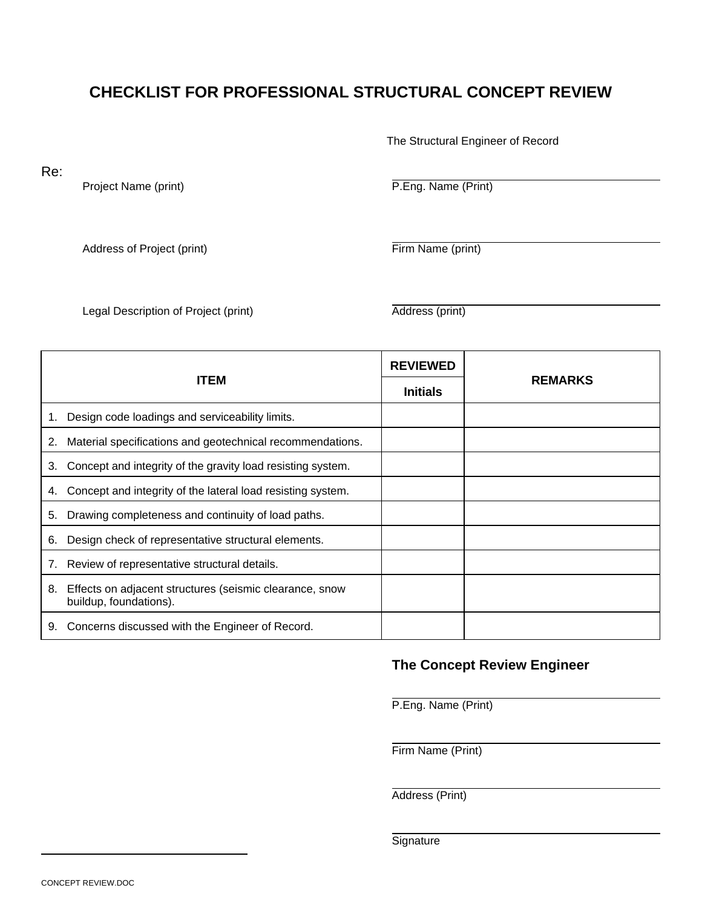# **CHECKLIST FOR PROFESSIONAL STRUCTURAL CONCEPT REVIEW**

The Structural Engineer of Record

Re:

Project Name (print) P.Eng. Name (Print)

Address of Project (print) Firm Name (print)

Legal Description of Project (print) and Address (print)

| <b>ITEM</b> |                                                                                   | <b>REVIEWED</b> |                |
|-------------|-----------------------------------------------------------------------------------|-----------------|----------------|
|             |                                                                                   | <b>Initials</b> | <b>REMARKS</b> |
|             | Design code loadings and serviceability limits.                                   |                 |                |
| 2.          | Material specifications and geotechnical recommendations.                         |                 |                |
| 3.          | Concept and integrity of the gravity load resisting system.                       |                 |                |
| 4.          | Concept and integrity of the lateral load resisting system.                       |                 |                |
| 5.          | Drawing completeness and continuity of load paths.                                |                 |                |
| 6.          | Design check of representative structural elements.                               |                 |                |
|             | Review of representative structural details.                                      |                 |                |
| 8.          | Effects on adjacent structures (seismic clearance, snow<br>buildup, foundations). |                 |                |
| 9.          | Concerns discussed with the Engineer of Record.                                   |                 |                |

## **The Concept Review Engineer**

P.Eng. Name (Print)

Firm Name (Print)

Address (Print)

**Signature**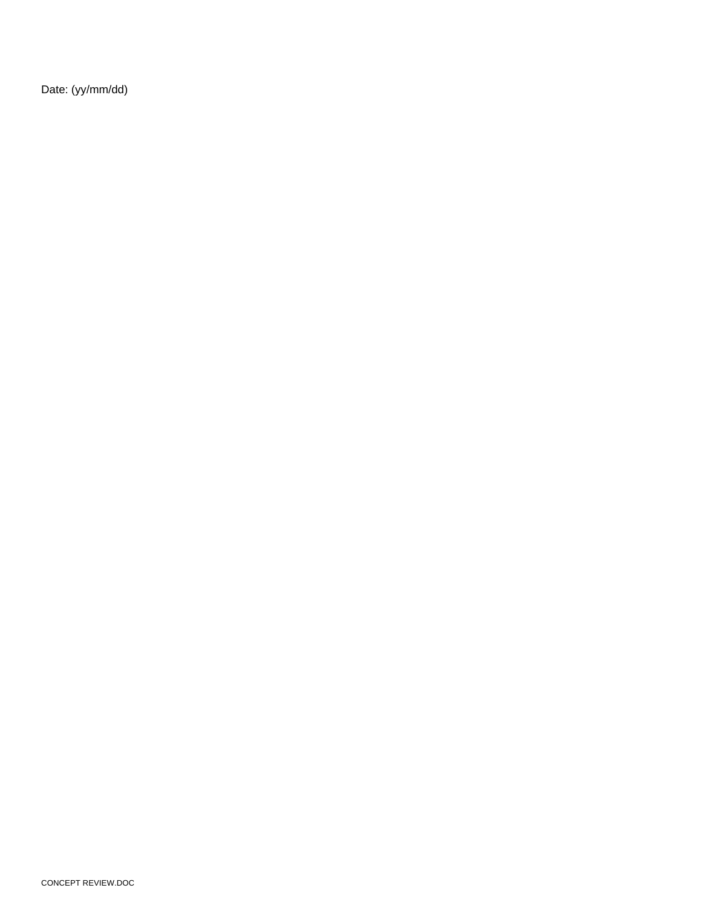Date: (yy/mm/dd)